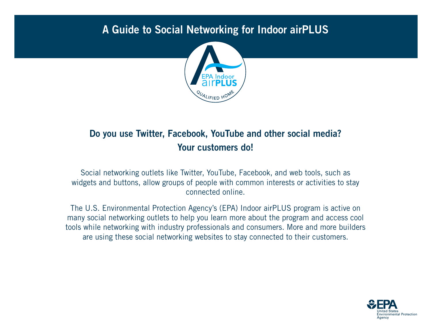## A Guide to Social Networking for Indoor airPLUS



## Do you use Twitter, Facebook, YouTube and other social media? Your customers do!

Social networking outlets like Twitter, YouTube, Facebook, and web tools, such as widgets and buttons, allow groups of people with common interests or activities to stay connected online.

The U.S. Environmental Protection Agency's (EPA) Indoor airPLUS program is active on many social networking outlets to help you learn more about the program and access cool tools while networking with industry professionals and consumers. More and more builders are using these social networking websites to stay connected to their customers.

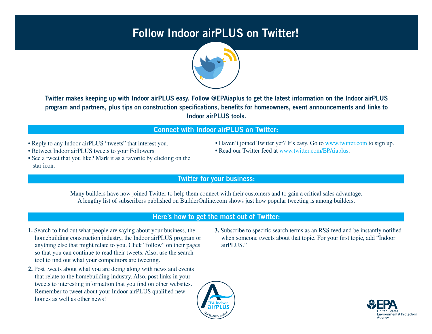## Follow Indoor airPLUS on Twitter!



Twitter makes keeping up with Indoor airPLUS easy. Follow @EPAiaplus to get the latest information on the Indoor airPLUS program and partners, plus tips on construction specifications, benefits for homeowners, event announcements and links to Indoor airPLUS tools.

### Connect with Indoor airPLUS on Twitter:

- Reply to any Indoor airPLUS "tweets" that interest you.
- Retweet Indoor airPLUS tweets to your Followers.
- See a tweet that you like? Mark it as a favorite by clicking on the star icon.
- Haven't joined Twitter yet? It's easy. Go to www.twitter.com to sign up.
- Read our Twitter feed at [www.twitter.com/EPAiaplus.](http://www.twitter.com/EPAiaplus)
- Twitter for your business:

Many builders have now joined Twitter to help them connect with their customers and to gain a critical sales advantage. A lengthy list of subscribers published on BuilderOnline.com shows just how popular tweeting is among builders.

### Here's how to get the most out of Twitter:

- **1.** Search to find out what people are saying about your business, the homebuilding construction industry, the Indoor airPLUS program or anything else that might relate to you. Click "follow" on their pages so that you can continue to read their tweets. Also, use the search tool to find out what your competitors are tweeting.
- **2.** Post tweets about what you are doing along with news and events that relate to the homebuilding industry. Also, post links in your tweets to interesting information that you find on other websites. Remember to tweet about your Indoor airPLUS qualified new homes as well as other news!
- **3.** Subscribe to specific search terms as an RSS feed and be instantly notified when someone tweets about that topic. For your first topic, add "Indoor airPLUS."



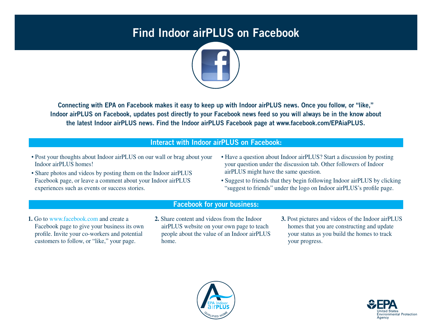## Find Indoor airPLUS on Facebook



Connecting with EPA on Facebook makes it easy to keep up with Indoor airPLUS news. Once you follow, or "like," Indoor airPLUS on Facebook, updates post directly to your Facebook news feed so you will always be in the know about the latest Indoor airPLUS news. Find the Indoor airPLUS Facebook page at www.facebook.com/EPAiaPLUS.

### Interact with Indoor airPLUS on Facebook:

- Post your thoughts about Indoor airPLUS on our wall or brag about your Indoor airPLUS homes!
- Share photos and videos by posting them on the Indoor airPLUS Facebook page, or leave a comment about your Indoor airPLUS experiences such as events or success stories.
- Have a question about Indoor airPLUS? Start a discussion by posting your question under the discussion tab. Other followers of Indoor airPLUS might have the same question.
- Suggest to friends that they begin following Indoor airPLUS by clicking "suggest to friends" under the logo on Indoor airPLUS's profile page.

#### Facebook for your business:

- **1.** Go to www.facebook.com and create a Facebook page to give your business its own profile. Invite your co-workers and potential customers to follow, or "like," your page.
- **2.** Share content and videos from the Indoor airPLUS website on your own page to teach people about the value of an Indoor airPLUS home.
- **3.** Post pictures and videos of the Indoor airPLUS homes that you are constructing and update your status as you build the homes to track your progress.



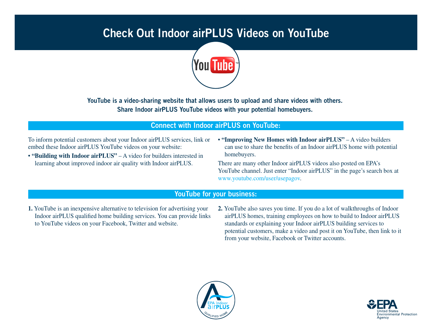# Check Out Indoor airPLUS Videos on YouTube



YouTube is a video-sharing website that allows users to upload and share videos with others. Share Indoor airPLUS YouTube videos with your potential homebuyers.

### Connect with Indoor airPLUS on YouTube:

To inform potential customers about your Indoor airPLUS services, link or embed these Indoor airPLUS YouTube videos on your website:

- **"Building with Indoor airPLUS"** A video for builders interested in learning about improved indoor air quality with Indoor airPLUS.
- **"Improving New Homes with Indoor airPLUS"** A video builders can use to share the benefits of an Indoor airPLUS home with potential homebuyers.

There are many other Indoor airPLUS videos also posted on EPA's YouTube channel. Just enter "Indoor airPLUS" in the page's search box at www.youtube.com/user/usepagov.

#### YouTube for your business:

- **1.** YouTube is an inexpensive alternative to television for advertising your Indoor airPLUS qualified home building services. You can provide links to YouTube videos on your Facebook, Twitter and website.
- **2.** YouTube also saves you time. If you do a lot of walkthroughs of Indoor airPLUS homes, training employees on how to build to Indoor airPLUS standards or explaining your Indoor airPLUS building services to potential customers, make a video and post it on YouTube, then link to it from your website, Facebook or Twitter accounts.